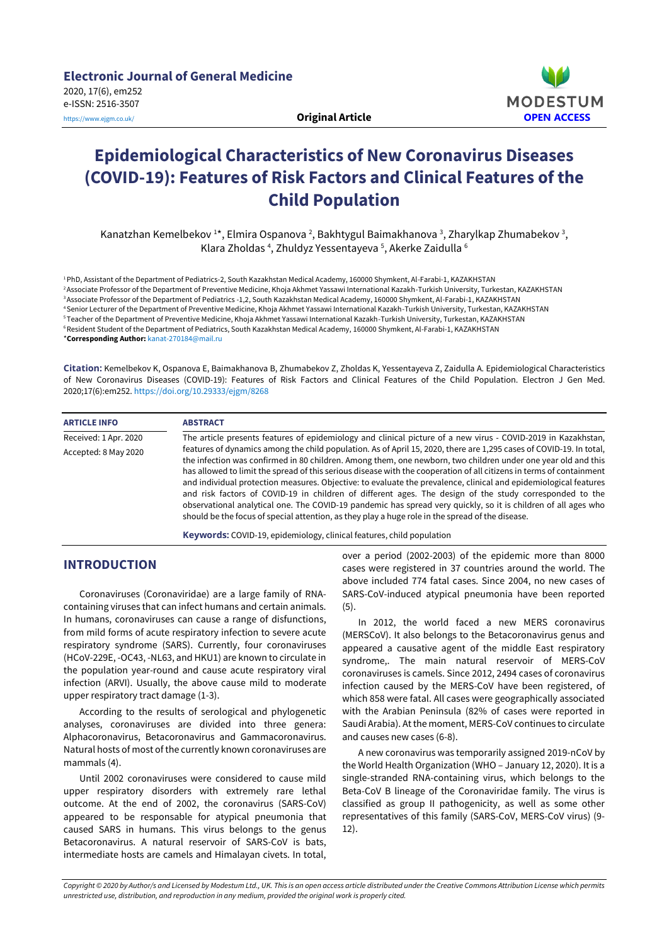

# **Epidemiological Characteristics of New Coronavirus Diseases (COVID-19): Features of Risk Factors and Clinical Features of the Child Population**

Kanatzhan Kemelbekov 1\*, Elmira Ospanova <sup>2</sup>, Bakhtygul Baimakhanova <sup>3</sup>, Zharylkap Zhumabekov <sup>3</sup>, Klara Zholdas<sup>4</sup>, Zhuldyz Yessentayeva<sup>5</sup>, Akerke Zaidulla<sup>6</sup>

PhD, Assistant of the Department of Pediatrics-2, South Kazakhstan Medical Academy, 160000 Shymkent, Al-Farabi-1, KAZAKHSTAN Associate Professor of the Department of Preventive Medicine, Khoja Akhmet Yassawi International Kazakh-Turkish University, Turkestan, KAZAKHSTAN <sup>3</sup> Associate Professor of the Department of Pediatrics -1,2, South Kazakhstan Medical Academy, 160000 Shymkent, Al-Farabi-1, KAZAKHSTAN Senior Lecturer of the Department of Preventive Medicine, Khoja Akhmet Yassawi International Kazakh-Turkish University, Turkestan, KAZAKHSTAN Teacher of the Department of Preventive Medicine, Khoja Akhmet Yassawi International Kazakh-Turkish University, Turkestan, KAZAKHSTAN Resident Student of the Department of Pediatrics, South Kazakhstan Medical Academy, 160000 Shymkent, Al-Farabi-1, KAZAKHSTAN \***Corresponding Author:** [kanat-270184@mail.ru](mailto:kanat-270184@mail.ru)

**Citation:** Kemelbekov K, Ospanova E, Baimakhanova B, Zhumabekov Z, Zholdas K, Yessentayeva Z, Zaidulla A. Epidemiological Characteristics of New Coronavirus Diseases (COVID-19): Features of Risk Factors and Clinical Features of the Child Population. Electron J Gen Med. 2020;17(6):em252. <https://doi.org/10.29333/ejgm/8268>

| <b>ARTICLE INFO</b>   | <b>ABSTRACT</b>                                                                                                                                                                                                                                                                                                                                                                                                                                                                                                                                                                                                                                                                                                                                                                                                   |
|-----------------------|-------------------------------------------------------------------------------------------------------------------------------------------------------------------------------------------------------------------------------------------------------------------------------------------------------------------------------------------------------------------------------------------------------------------------------------------------------------------------------------------------------------------------------------------------------------------------------------------------------------------------------------------------------------------------------------------------------------------------------------------------------------------------------------------------------------------|
| Received: 1 Apr. 2020 | The article presents features of epidemiology and clinical picture of a new virus - COVID-2019 in Kazakhstan,                                                                                                                                                                                                                                                                                                                                                                                                                                                                                                                                                                                                                                                                                                     |
| Accepted: 8 May 2020  | features of dynamics among the child population. As of April 15, 2020, there are 1,295 cases of COVID-19. In total,<br>the infection was confirmed in 80 children. Among them, one newborn, two children under one year old and this<br>has allowed to limit the spread of this serious disease with the cooperation of all citizens in terms of containment<br>and individual protection measures. Objective: to evaluate the prevalence, clinical and epidemiological features<br>and risk factors of COVID-19 in children of different ages. The design of the study corresponded to the<br>observational analytical one. The COVID-19 pandemic has spread very quickly, so it is children of all ages who<br>should be the focus of special attention, as they play a huge role in the spread of the disease. |

**Keywords:** COVID-19, epidemiology, clinical features, child population

## **INTRODUCTION**

Coronaviruses (Coronaviridae) are a large family of RNAcontaining viruses that can infect humans and certain animals. In humans, coronaviruses can cause a range of disfunctions, from mild forms of acute respiratory infection to severe acute respiratory syndrome (SARS). Сurrently, four coronaviruses (HCoV-229E, -OC43, -NL63, and HKU1) are known to circulate in the population year-round and cause acute respiratory viral infection (ARVI). Usually, the above cause mild to moderate upper respiratory tract damage (1-3).

According to the results of serological and phylogenetic analyses, coronaviruses are divided into three genera: Alphacoronavirus, Betacoronavirus and Gammacoronavirus. Natural hosts of most of the currently known coronaviruses are mammals (4).

Until 2002 coronaviruses were considered to cause mild upper respiratory disorders with extremely rare lethal outcome. At the end of 2002, the coronavirus (SARS-CoV) appeared to be responsable for atypical pneumonia that caused SARS in humans. This virus belongs to the genus Betacoronavirus. A natural reservoir of SARS-CoV is bats, intermediate hosts are camels and Himalayan civets. In total,

over a period (2002-2003) of the epidemic more than 8000 cases were registered in 37 countries around the world. The above included 774 fatal cases. Since 2004, no new cases of SARS-CoV-induced atypical pneumonia have been reported (5).

In 2012, the world faced a new MERS coronavirus (MERSCoV). It also belongs to the Betacoronavirus genus and appeared a causative agent of the middle East respiratory syndrome,. The main natural reservoir of MERS-CoV coronaviruses is camels. Since 2012, 2494 cases of coronavirus infection caused by the MERS-CoV have been registered, of which 858 were fatal. All cases were geographically associated with the Arabian Peninsula (82% of cases were reported in Saudi Arabia). Atthe moment, MERS-CoV continues to circulate and causes new cases (6-8).

A new coronavirus was temporarily assigned 2019-nCoV by the World Health Organization (WHO – January 12, 2020). It is a single-stranded RNA-containing virus, which belongs to the Beta-CoV B lineage of the Coronaviridae family. The virus is classified as group II pathogenicity, as well as some other representatives of this family (SARS-CoV, MERS-CoV virus) (9- 12).

Copyright © 2020 by Author/s and Licensed by Modestum Ltd., UK. This is an open access article distributed under the Creative Commons Attribution License which permits *unrestricted use, distribution, and reproduction in any medium, provided the original work is properly cited.*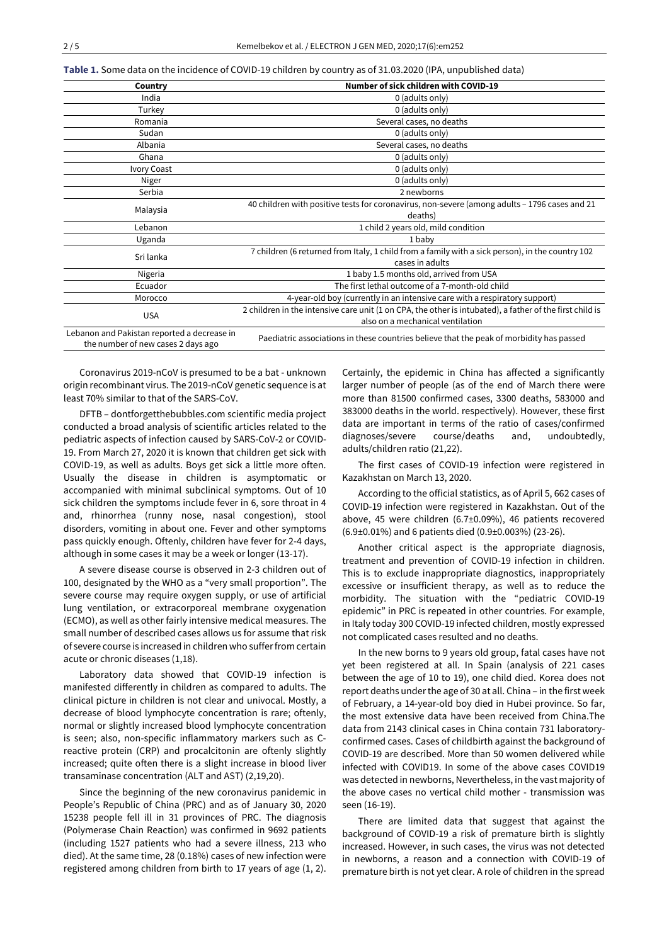**Table 1.** Some data on the incidence of COVID-19 children by country as of 31.03.2020 (IPA, unpublished data)

| Country                                                                           | Number of sick children with COVID-19                                                                    |
|-----------------------------------------------------------------------------------|----------------------------------------------------------------------------------------------------------|
| India                                                                             | 0 (adults only)                                                                                          |
| Turkey                                                                            | 0 (adults only)                                                                                          |
| Romania                                                                           | Several cases, no deaths                                                                                 |
| Sudan                                                                             | 0 (adults only)                                                                                          |
| Albania                                                                           | Several cases, no deaths                                                                                 |
| Ghana                                                                             | 0 (adults only)                                                                                          |
| Ivory Coast                                                                       | 0 (adults only)                                                                                          |
| Niger                                                                             | 0 (adults only)                                                                                          |
| Serbia                                                                            | 2 newborns                                                                                               |
| Malaysia                                                                          | 40 children with positive tests for coronavirus, non-severe (among adults - 1796 cases and 21            |
|                                                                                   | deaths)                                                                                                  |
| Lebanon                                                                           | 1 child 2 years old, mild condition                                                                      |
| Uganda                                                                            | 1 baby                                                                                                   |
| Sri lanka                                                                         | 7 children (6 returned from Italy, 1 child from a family with a sick person), in the country 102         |
|                                                                                   | cases in adults                                                                                          |
| Nigeria                                                                           | 1 baby 1.5 months old, arrived from USA                                                                  |
| Ecuador                                                                           | The first lethal outcome of a 7-month-old child                                                          |
| Morocco                                                                           | 4-year-old boy (currently in an intensive care with a respiratory support)                               |
| <b>USA</b>                                                                        | 2 children in the intensive care unit (1 on CPA, the other is intubated), a father of the first child is |
|                                                                                   | also on a mechanical ventilation                                                                         |
| Lebanon and Pakistan reported a decrease in<br>the number of new cases 2 days ago | Paediatric associations in these countries believe that the peak of morbidity has passed                 |

Coronavirus 2019-nCoV is presumed to be a bat - unknown origin recombinant virus. The 2019-nCoV genetic sequence is at least 70% similar to that of the SARS-CoV.

DFTB – dontforgetthebubbles.com scientific media project conducted a broad analysis of scientific articles related to the pediatric aspects of infection caused by SARS-CoV-2 or COVID-19. From March 27, 2020 it is known that children get sick with COVID-19, as well as adults. Boys get sick a little more often. Usually the disease in children is asymptomatic or accompanied with minimal subclinical symptoms. Out of 10 sick children the symptoms include fever in 6, sore throat in 4 and, rhinorrhea (runny nose, nasal congestion), stool disorders, vomiting in about one. Fever and other symptoms pass quickly enough. Oftenly, children have fever for 2-4 days, although in some cases it may be a week or longer (13-17).

A severe disease course is observed in 2-3 children out of 100, designated by the WHO as a "very small proportion". The severe course may require oxygen supply, or use of artificial lung ventilation, or extracorporeal membrane oxygenation (ECMO), as well as other fairly intensive medical measures. The small number of described cases allows us for assume that risk of severe course is increased in children who sufferfrom certain acute or chronic diseases (1,18).

Laboratory data showed that COVID-19 infection is manifested differently in children as compared to adults. The clinical picture in children is not clear and univocal. Mostly, a decrease of blood lymphocyte concentration is rare; oftenly, normal or slightly increased blood lymphocyte concentration is seen; also, non-specific inflammatory markers such as Creactive protein (CRP) and procalcitonin are oftenly slightly increased; quite often there is a slight increase in blood liver transaminase concentration (ALT and AST) (2,19,20).

Since the beginning of the new coronavirus panidemic in People's Republic of China (PRC) and as of January 30, 2020 15238 people fell ill in 31 provinces of PRC. The diagnosis (Polymerase Chain Reaction) was confirmed in 9692 patients (including 1527 patients who had a severe illness, 213 who died). At the same time, 28 (0.18%) cases of new infection were registered among children from birth to 17 years of age (1, 2). Certainly, the epidemic in China has affected a significantly larger number of people (as of the end of March there were more than 81500 confirmed cases, 3300 deaths, 583000 and 383000 deaths in the world. respectively). However, these first data are important in terms of the ratio of cases/confirmed diagnoses/severe course/deaths and, undoubtedly, adults/children ratio (21,22).

The first cases of COVID-19 infection were registered in Kazakhstan on March 13, 2020.

According to the official statistics, as of April 5, 662 cases of COVID-19 infection were registered in Kazakhstan. Out of the above, 45 were children (6.7±0.09%), 46 patients recovered (6.9±0.01%) and 6 patients died (0.9±0.003%) (23-26).

Another critical aspect is the appropriate diagnosis, treatment and prevention of COVID-19 infection in children. This is to exclude inappropriate diagnostics, inappropriately excessive or insufficient therapy, as well as to reduce the morbidity. The situation with the "pediatric COVID-19 epidemic" in PRC is repeated in other countries. For example, in Italy today 300 COVID-19 infected children, mostly expressed not complicated cases resulted and no deaths.

In the new borns to 9 years old group, fatal cases have not yet been registered at all. In Spain (analysis of 221 cases between the age of 10 to 19), one child died. Korea does not report deaths underthe age of 30 at all. China – in the first week of February, a 14-year-old boy died in Hubei province. So far, the most extensive data have been received from China.The data from 2143 clinical cases in China contain 731 laboratoryconfirmed cases. Cases of childbirth against the background of COVID-19 are described. More than 50 women delivered while infected with COVID19. In some of the above cases COVID19 was detected in newborns, Nevertheless, in the vast majority of the above cases no vertical child mother - transmission was seen (16-19).

There are limited data that suggest that against the background of COVID-19 a risk of premature birth is slightly increased. However, in such cases, the virus was not detected in newborns, a reason and a connection with COVID-19 of premature birth is not yet clear. A role of children in the spread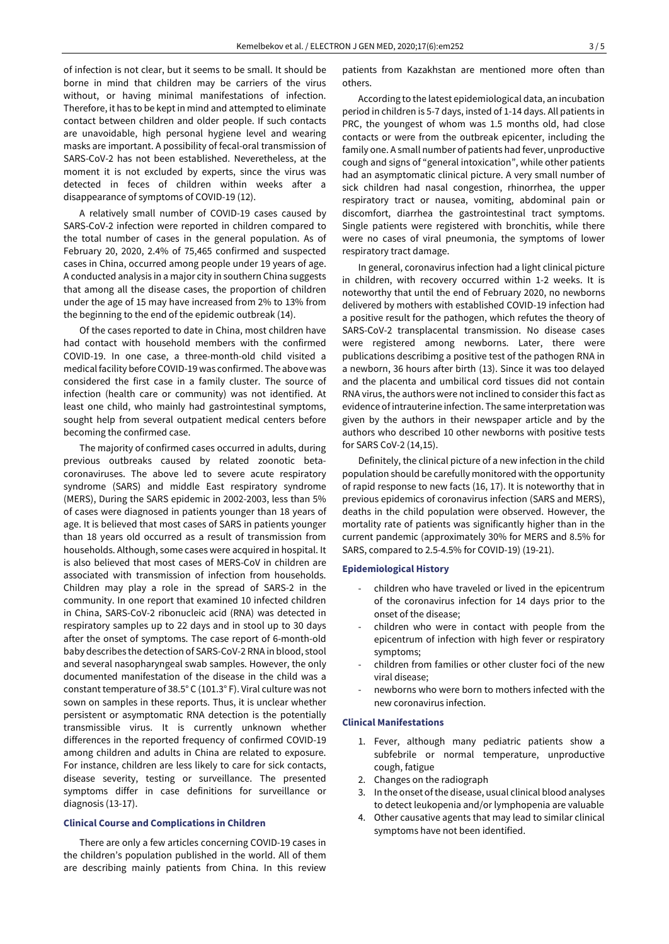of infection is not clear, but it seems to be small. It should be borne in mind that children may be carriers of the virus without, or having minimal manifestations of infection. Therefore, it has to be kept in mind and attempted to eliminate contact between children and older people. If such contacts are unavoidable, high personal hygiene level and wearing masks are important. A possibility of fecal-oral transmission of SARS-CoV-2 has not been established. Neveretheless, at the moment it is not excluded by experts, since the virus was detected in feces of children within weeks after a disappearance of symptoms of COVID-19 (12).

A relatively small number of COVID-19 cases caused by SARS-CoV-2 infection were reported in children compared to the total number of cases in the general population. As of February 20, 2020, 2.4% of 75,465 confirmed and suspected cases in China, occurred among people under 19 years of age. A conducted analysis in a major city in southern China suggests that among all the disease cases, the proportion of children under the age of 15 may have increased from 2% to 13% from the beginning to the end of the epidemic outbreak (14).

Of the cases reported to date in China, most children have had contact with household members with the confirmed COVID-19. In one case, a three-month-old child visited a medical facility before COVID-19 was confirmed. The above was considered the first case in a family cluster. The source of infection (health care or community) was not identified. At least one child, who mainly had gastrointestinal symptoms, sought help from several outpatient medical centers before becoming the confirmed case.

The majority of confirmed cases occurred in adults, during previous outbreaks caused by related zoonotic betacoronaviruses. The above led to severe acute respiratory syndrome (SARS) and middle East respiratory syndrome (MERS), During the SARS epidemic in 2002-2003, less than 5% of cases were diagnosed in patients younger than 18 years of age. It is believed that most cases of SARS in patients younger than 18 years old occurred as a result of transmission from households. Although, some cases were acquired in hospital. It is also believed that most cases of MERS-CoV in children are associated with transmission of infection from households. Children may play a role in the spread of SARS-2 in the community. In one report that examined 10 infected children in China, SARS-CoV-2 ribonucleic acid (RNA) was detected in respiratory samples up to 22 days and in stool up to 30 days after the onset of symptoms. The case report of 6-month-old baby describes the detection of SARS-CoV-2 RNA in blood, stool and several nasopharyngeal swab samples. However, the only documented manifestation of the disease in the child was a constant temperature of 38.5° C (101.3° F). Viral culture was not sown on samples in these reports. Thus, it is unclear whether persistent or asymptomatic RNA detection is the potentially transmissible virus. It is currently unknown whether differences in the reported frequency of confirmed COVID-19 among children and adults in China are related to exposure. For instance, children are less likely to care for sick contacts, disease severity, testing or surveillance. The presented symptoms differ in case definitions for surveillance or diagnosis (13-17).

#### **Clinical Course and Complications in Children**

There are only a few articles concerning COVID-19 cases in the children's population published in the world. All of them are describing mainly patients from China. In this review

patients from Kazakhstan are mentioned more often than others.

According to the latest epidemiological data, an incubation period in children is 5-7 days, insted of 1-14 days. All patients in PRC, the youngest of whom was 1.5 months old, had close contacts or were from the outbreak epicenter, including the family one. A small number of patients had fever, unproductive cough and signs of "general intoxication", while other patients had an asymptomatic clinical picture. A very small number of sick children had nasal congestion, rhinorrhea, the upper respiratory tract or nausea, vomiting, abdominal pain or discomfort, diarrhea the gastrointestinal tract symptoms. Single patients were registered with bronchitis, while there were no cases of viral pneumonia, the symptoms of lower respiratory tract damage.

In general, coronavirus infection had a light clinical picture in children, with recovery occurred within 1-2 weeks. It is noteworthy that until the end of February 2020, no newborns delivered by mothers with established COVID-19 infection had a positive result for the pathogen, which refutes the theory of SARS-CoV-2 transplacental transmission. No disease cases were registered among newborns. Later, there were publications describimg a positive test of the pathogen RNA in a newborn, 36 hours after birth (13). Since it was too delayed and the placenta and umbilical cord tissues did not contain RNA virus, the authors were not inclined to consider this fact as evidence of intrauterine infection. The same interpretation was given by the authors in their newspaper article and by the authors who described 10 other newborns with positive tests for SARS CoV-2 (14,15).

Definitely, the clinical picture of a new infection in the child population should be carefully monitored with the opportunity of rapid response to new facts (16, 17). It is noteworthy that in previous epidemics of coronavirus infection (SARS and MERS), deaths in the child population were observed. However, the mortality rate of patients was significantly higher than in the current pandemic (approximately 30% for MERS and 8.5% for SARS, compared to 2.5-4.5% for COVID-19) (19-21).

#### **Epidemiological History**

- children who have traveled or lived in the epicentrum of the coronavirus infection for 14 days prior to the onset of the disease;
- children who were in contact with people from the epicentrum of infection with high fever or respiratory symptoms;
- children from families or other cluster foci of the new viral disease;
- newborns who were born to mothers infected with the new coronavirus infection.

#### **Clinical Manifestations**

- 1. Fever, although many pediatric patients show a subfebrile or normal temperature, unproductive cough, fatigue
- 2. Changes on the radiograph
- 3. In the onset of the disease, usual clinical blood analyses to detect leukopenia and/or lymphopenia are valuable
- 4. Other causative agents that may lead to similar clinical symptoms have not been identified.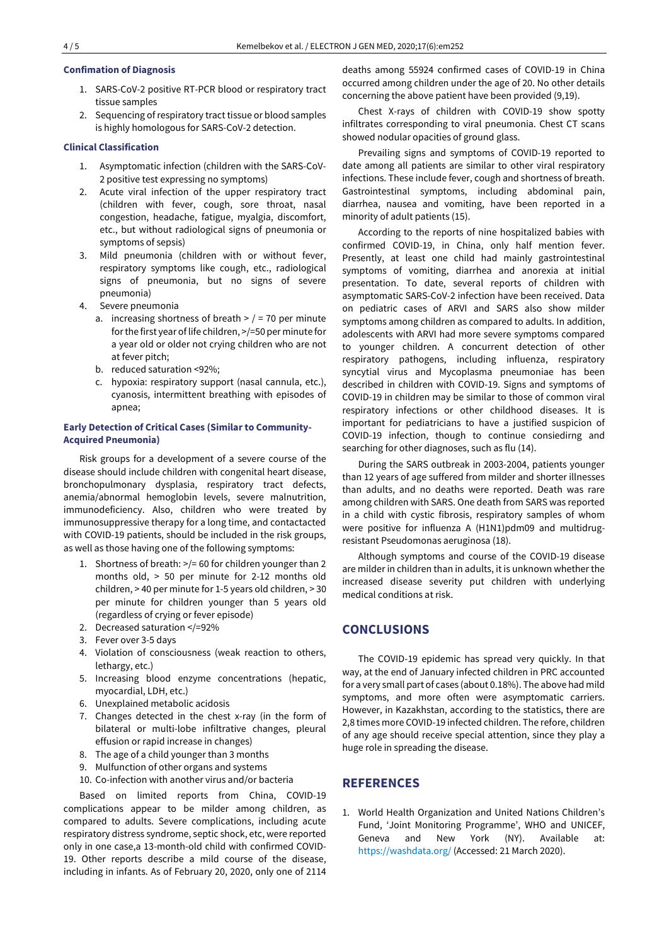### **Confimation of Diagnosis**

- 1. SARS-CoV-2 positive RT-PCR blood or respiratory tract tissue samples
- 2. Sequencing of respiratory tract tissue or blood samples is highly homologous for SARS-CoV-2 detection.

### **Clinical Classification**

- 1. Asymptomatic infection (children with the SARS-CoV-2 positive test expressing no symptoms)
- 2. Acute viral infection of the upper respiratory tract (children with fever, cough, sore throat, nasal congestion, headache, fatigue, myalgia, discomfort, etc., but without radiological signs of pneumonia or symptoms of sepsis)
- 3. Mild pneumonia (children with or without fever, respiratory symptoms like cough, etc., radiological signs of pneumonia, but no signs of severe pneumonia)
- 4. Severe pneumonia
	- a. increasing shortness of breath  $>$  / = 70 per minute forthe first year of life children, >/=50 per minute for a year old or older not crying children who are not at fever pitch;
	- b. reduced saturation <92%;
	- c. hypoxia: respiratory support (nasal cannula, etc.), cyanosis, intermittent breathing with episodes of apnea;

## **Early Detection of Critical Cases (Similar to Community-Acquired Pneumonia)**

Risk groups for a development of a severe course of the disease should include children with congenital heart disease, bronchopulmonary dysplasia, respiratory tract defects, anemia/abnormal hemoglobin levels, severe malnutrition, immunodeficiency. Also, children who were treated by immunosuppressive therapy for a long time, and contactacted with COVID-19 patients, should be included in the risk groups, as well as those having one of the following symptoms:

- 1. Shortness of breath: >/= 60 for children younger than 2 months old, > 50 per minute for 2-12 months old children, > 40 per minute for 1-5 years old children, > 30 per minute for children younger than 5 years old (regardless of crying or fever episode)
- 2. Decreased saturation </=92%
- 3. Fever over 3-5 days
- 4. Violation of consciousness (weak reaction to others, lethargy, etc.)
- 5. Increasing blood enzyme concentrations (hepatic, myocardial, LDH, etc.)
- 6. Unexplained metabolic acidosis
- 7. Changes detected in the chest x-ray (in the form of bilateral or multi-lobe infiltrative changes, pleural effusion or rapid increase in changes)
- 8. The age of a child younger than 3 months
- 9. Mulfunction of other organs and systems
- 10. Co-infection with another virus and/or bacteria

Based on limited reports from China, COVID-19 complications appear to be milder among children, as compared to adults. Severe complications, including acute respiratory distress syndrome, septic shock, etc, were reported only in one case,a 13-month-old child with confirmed COVID-19. Other reports describe a mild course of the disease, including in infants. As of February 20, 2020, only one of 2114 deaths among 55924 confirmed cases of COVID-19 in China occurred among children under the age of 20. No other details concerning the above patient have been provided (9,19).

Chest X-rays of children with COVID-19 show spotty infiltrates corresponding to viral pneumonia. Chest CT scans showed nodular opacities of ground glass.

Prevailing signs and symptoms of COVID-19 reported to date among all patients are similar to other viral respiratory infections. These include fever, cough and shortness of breath. Gastrointestinal symptoms, including abdominal pain, diarrhea, nausea and vomiting, have been reported in a minority of adult patients (15).

According to the reports of nine hospitalized babies with confirmed COVID-19, in China, only half mention fever. Presently, at least one child had mainly gastrointestinal symptoms of vomiting, diarrhea and anorexia at initial presentation. To date, several reports of children with asymptomatic SARS-CoV-2 infection have been received. Data on pediatric cases of ARVI and SARS also show milder symptoms among children as compared to adults. In addition, adolescents with ARVI had more severe symptoms compared to younger children. A concurrent detection of other respiratory pathogens, including influenza, respiratory syncytial virus and Mycoplasma pneumoniae has been described in children with COVID-19. Signs and symptoms of COVID-19 in children may be similar to those of common viral respiratory infections or other childhood diseases. It is important for pediatricians to have a justified suspicion of COVID-19 infection, though to continue consiedirng and searching for other diagnoses, such as flu (14).

During the SARS outbreak in 2003-2004, patients younger than 12 years of age suffered from milder and shorter illnesses than adults, and no deaths were reported. Death was rare among children with SARS. One death from SARS was reported in a child with cystic fibrosis, respiratory samples of whom were positive for influenza A (H1N1)pdm09 and multidrugresistant Pseudomonas aeruginosa (18).

Although symptoms and course of the COVID-19 disease are milder in children than in adults, it is unknown whether the increased disease severity put children with underlying medical conditions at risk.

## **CONCLUSIONS**

The COVID-19 epidemic has spread very quickly. In that way, at the end of January infected children in PRC accounted for a very small part of cases (about 0.18%). The above had mild symptoms, and more often were asymptomatic carriers. However, in Kazakhstan, according to the statistics, there are 2,8 times more COVID-19 infected children. The refore, children of any age should receive special attention, since they play a huge role in spreading the disease.

# **REFERENCES**

1. World Health Organization and United Nations Children's Fund, 'Joint Monitoring Programme', WHO and UNICEF, Geneva and New York (NY). Available at: <https://washdata.org/> (Accessed: 21 March 2020).